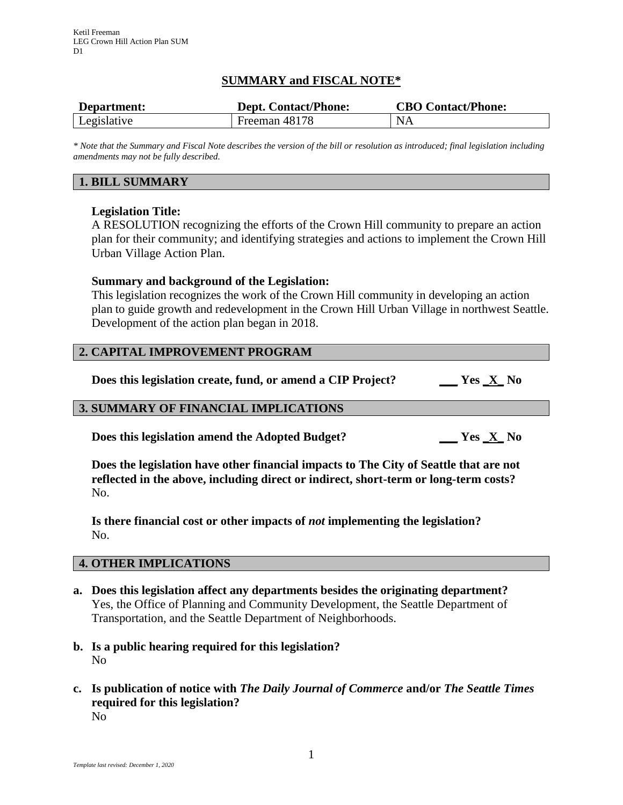## **SUMMARY and FISCAL NOTE\***

| Department: | <b>Dept. Contact/Phone:</b> | <b>CBO Contact/Phone:</b> |
|-------------|-----------------------------|---------------------------|
| Legislative | Freeman 48178               | NA                        |

*\* Note that the Summary and Fiscal Note describes the version of the bill or resolution as introduced; final legislation including amendments may not be fully described.*

## **1. BILL SUMMARY**

#### **Legislation Title:**

A RESOLUTION recognizing the efforts of the Crown Hill community to prepare an action plan for their community; and identifying strategies and actions to implement the Crown Hill Urban Village Action Plan.

#### **Summary and background of the Legislation:**

This legislation recognizes the work of the Crown Hill community in developing an action plan to guide growth and redevelopment in the Crown Hill Urban Village in northwest Seattle. Development of the action plan began in 2018.

#### **2. CAPITAL IMPROVEMENT PROGRAM**

**Does this legislation create, fund, or amend a CIP Project? \_\_\_ Yes \_X\_ No**

# **3. SUMMARY OF FINANCIAL IMPLICATIONS**

**Does this legislation amend the Adopted Budget? \_\_\_ Yes \_X\_ No**

**Does the legislation have other financial impacts to The City of Seattle that are not reflected in the above, including direct or indirect, short-term or long-term costs?** No.

**Is there financial cost or other impacts of** *not* **implementing the legislation?** No.

#### **4. OTHER IMPLICATIONS**

- **a. Does this legislation affect any departments besides the originating department?** Yes, the Office of Planning and Community Development, the Seattle Department of Transportation, and the Seattle Department of Neighborhoods.
- **b. Is a public hearing required for this legislation?** No
- **c. Is publication of notice with** *The Daily Journal of Commerce* **and/or** *The Seattle Times* **required for this legislation?** No